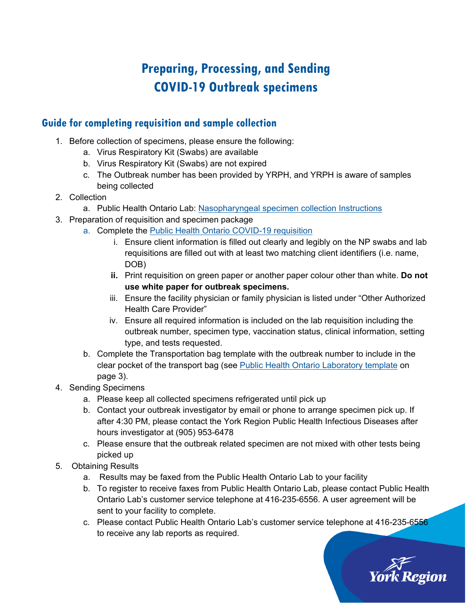## **Preparing, Processing, and Sending COVID-19 Outbreak specimens**

## **Guide for completing requisition and sample collection**

- 1. Before collection of specimens, please ensure the following:
	- a. Virus Respiratory Kit (Swabs) are available
	- b. Virus Respiratory Kit (Swabs) are not expired
	- c. The Outbreak number has been provided by YRPH, and YRPH is aware of samples being collected
- 2. Collection
	- a. Public Health Ontario Lab: [Nasopharyngeal specimen collection Instructions](https://www.publichealthontario.ca/-/media/documents/lab/respiratory-nasopharyngeal-collection-instructions.pdf?la=en)
- 3. Preparation of requisition and specimen package
	- a. Complete the [Public Health Ontario COVID-19 requisition](https://www.publichealthontario.ca/-/media/documents/lab/2019-ncov-test-requisition.pdf?la=en)
		- i. Ensure client information is filled out clearly and legibly on the NP swabs and lab requisitions are filled out with at least two matching client identifiers (i.e. name, DOB)
		- **ii.** Print requisition on green paper or another paper colour other than white. **Do not use white paper for outbreak specimens.**
		- iii. Ensure the facility physician or family physician is listed under "Other Authorized Health Care Provider"
		- iv. Ensure all required information is included on the lab requisition including the outbreak number, specimen type, vaccination status, clinical information, setting type, and tests requested.
	- b. Complete the Transportation bag template with the outbreak number to include in the clear pocket of the transport bag (see [Public Health Ontario Laboratory template](https://www.publichealthontario.ca/-/media/documents/lab/respiratory-outbreak-testing-prioritization-protocol.pdf?la=en) on page 3).
- 4. Sending Specimens
	- a. Please keep all collected specimens refrigerated until pick up
	- b. Contact your outbreak investigator by email or phone to arrange specimen pick up. If after 4:30 PM, please contact the York Region Public Health Infectious Diseases after hours investigator at (905) 953-6478
	- c. Please ensure that the outbreak related specimen are not mixed with other tests being picked up
- 5. Obtaining Results
	- a. Results may be faxed from the Public Health Ontario Lab to your facility
	- b. To register to receive faxes from Public Health Ontario Lab, please contact Public Health Ontario Lab's customer service telephone at 416-235-6556. A user agreement will be sent to your facility to complete.
	- c. Please contact Public Health Ontario Lab's customer service telephone at 416-235-6556 to receive any lab reports as required.